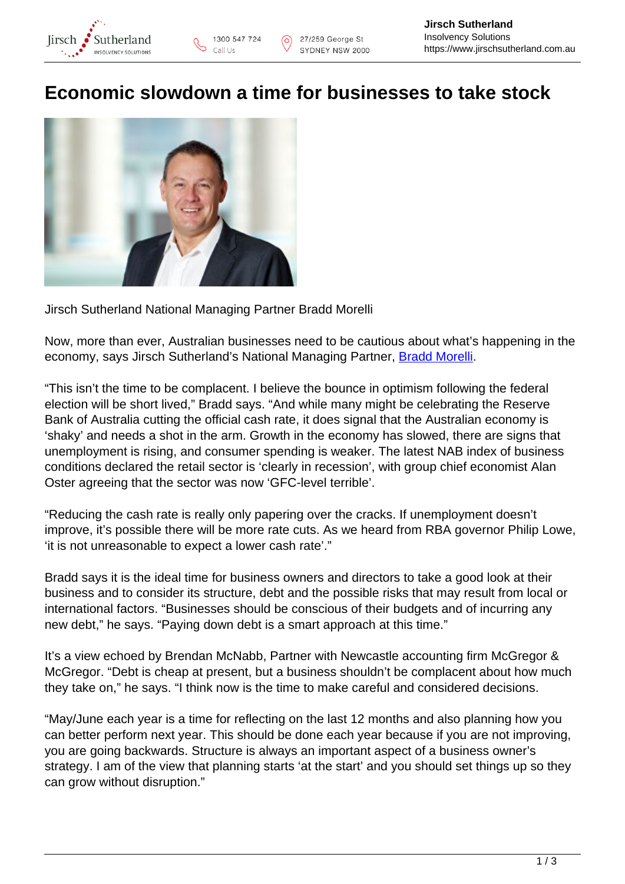

## **Economic slowdown a time for businesses to take stock**

 $\odot$ 



Jirsch Sutherland National Managing Partner Bradd Morelli

Now, more than ever, Australian businesses need to be cautious about what's happening in the economy, says Jirsch Sutherland's National Managing Partner, [Bradd Morelli.](https://www.jirschsutherland.com.au/people/bradd-morelli/)

"This isn't the time to be complacent. I believe the bounce in optimism following the federal election will be short lived," Bradd says. "And while many might be celebrating the Reserve Bank of Australia cutting the official cash rate, it does signal that the Australian economy is 'shaky' and needs a shot in the arm. Growth in the economy has slowed, there are signs that unemployment is rising, and consumer spending is weaker. The latest NAB index of business conditions declared the retail sector is 'clearly in recession', with group chief economist Alan Oster agreeing that the sector was now 'GFC-level terrible'.

"Reducing the cash rate is really only papering over the cracks. If unemployment doesn't improve, it's possible there will be more rate cuts. As we heard from RBA governor Philip Lowe, 'it is not unreasonable to expect a lower cash rate'."

Bradd says it is the ideal time for business owners and directors to take a good look at their business and to consider its structure, debt and the possible risks that may result from local or international factors. "Businesses should be conscious of their budgets and of incurring any new debt," he says. "Paying down debt is a smart approach at this time."

It's a view echoed by Brendan McNabb, Partner with Newcastle accounting firm McGregor & McGregor. "Debt is cheap at present, but a business shouldn't be complacent about how much they take on," he says. "I think now is the time to make careful and considered decisions.

"May/June each year is a time for reflecting on the last 12 months and also planning how you can better perform next year. This should be done each year because if you are not improving, you are going backwards. Structure is always an important aspect of a business owner's strategy. I am of the view that planning starts 'at the start' and you should set things up so they can grow without disruption."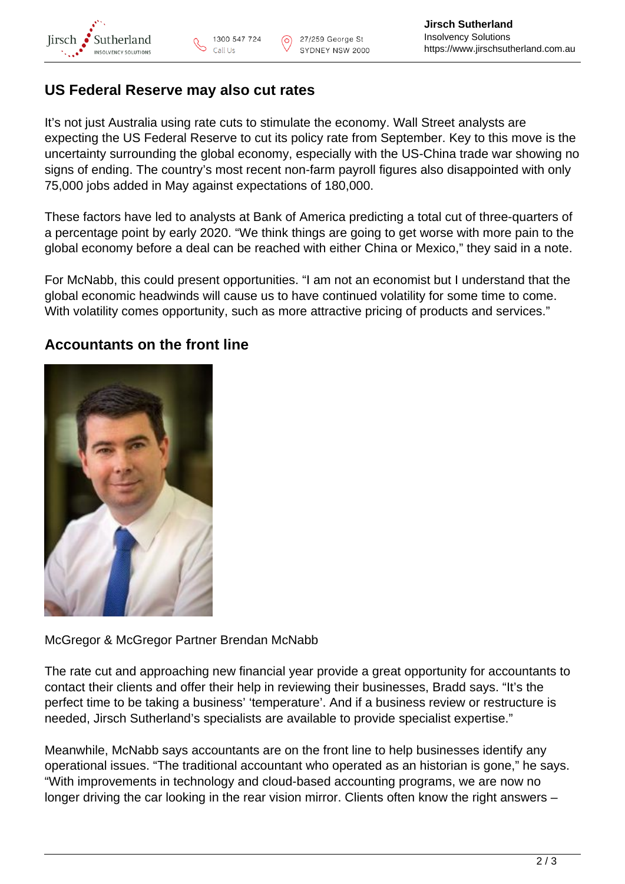

## **US Federal Reserve may also cut rates**

It's not just Australia using rate cuts to stimulate the economy. Wall Street analysts are expecting the US Federal Reserve to cut its policy rate from September. Key to this move is the uncertainty surrounding the global economy, especially with the US-China trade war showing no signs of ending. The country's most recent non-farm payroll figures also disappointed with only 75,000 jobs added in May against expectations of 180,000.

These factors have led to analysts at Bank of America predicting a total cut of three-quarters of a percentage point by early 2020. "We think things are going to get worse with more pain to the global economy before a deal can be reached with either China or Mexico," they said in a note.

For McNabb, this could present opportunities. "I am not an economist but I understand that the global economic headwinds will cause us to have continued volatility for some time to come. With volatility comes opportunity, such as more attractive pricing of products and services."

## **Accountants on the front line**



McGregor & McGregor Partner Brendan McNabb

The rate cut and approaching new financial year provide a great opportunity for accountants to contact their clients and offer their help in reviewing their businesses, Bradd says. "It's the perfect time to be taking a business' 'temperature'. And if a business review or restructure is needed, Jirsch Sutherland's specialists are available to provide specialist expertise."

Meanwhile, McNabb says accountants are on the front line to help businesses identify any operational issues. "The traditional accountant who operated as an historian is gone," he says. "With improvements in technology and cloud-based accounting programs, we are now no longer driving the car looking in the rear vision mirror. Clients often know the right answers –